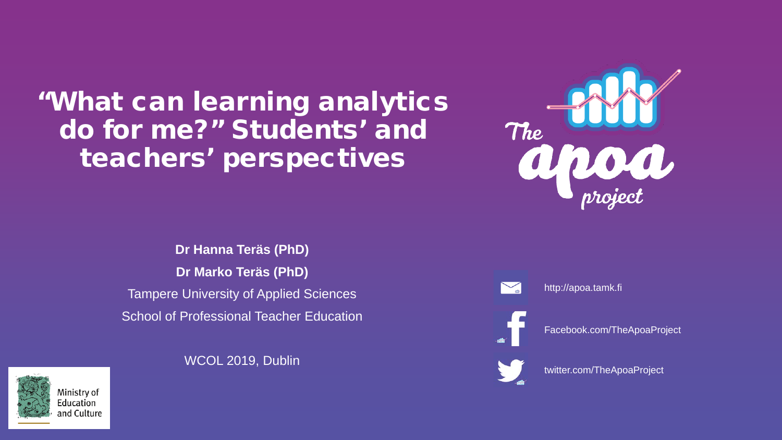#### "What can learning analytics do for me?" Students' and teachers' perspectives

**Dr Hanna Teräs (PhD) Dr Marko Teräs (PhD)** Tampere University of Applied Sciences School of Professional Teacher Education

WCOL 2019, Dublin





http://apoa.tamk.fi

Facebook.com/TheApoaProject



twitter.com/TheApoaProject

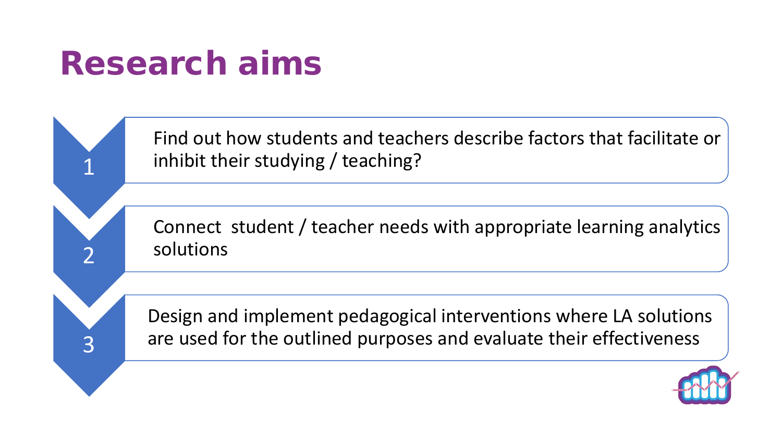#### Research aims

1

2

3

Find out how students and teachers describe factors that facilitate or inhibit their studying / teaching?

Connect student / teacher needs with appropriate learning analytics solutions

Design and implement pedagogical interventions where LA solutions are used for the outlined purposes and evaluate their effectiveness

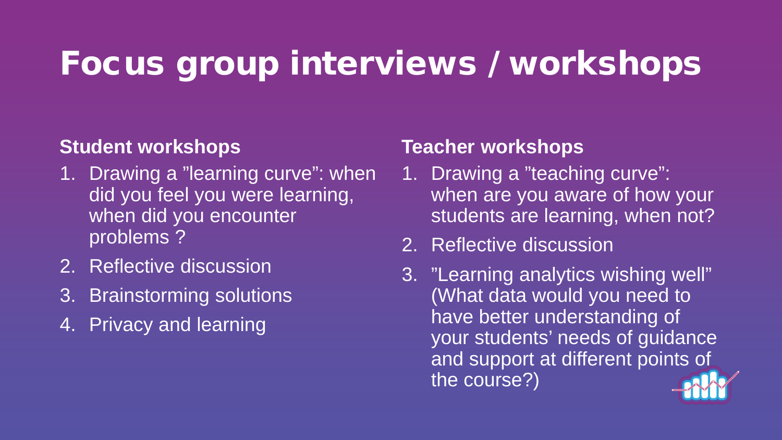#### Focus group interviews / workshops

#### **Student workshops**

- 1. Drawing a "learning curve": when did you feel you were learning, when did you encounter problems ?
- 2. Reflective discussion
- 3. Brainstorming solutions
- 4. Privacy and learning

#### **Teacher workshops**

- 1. Drawing a "teaching curve": when are you aware of how your students are learning, when not?
- 2. Reflective discussion
- 3. "Learning analytics wishing well" (What data would you need to have better understanding of your students' needs of guidance and support at different points of the course?)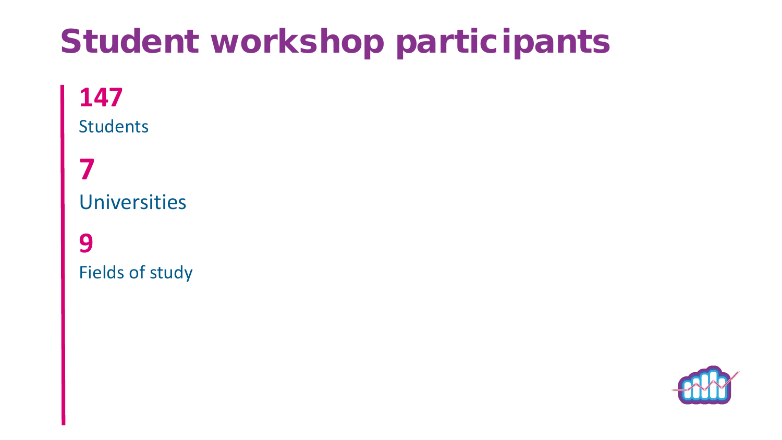### Student workshop participants

#### **147** Students

**7** Universities

**9** Fields of study

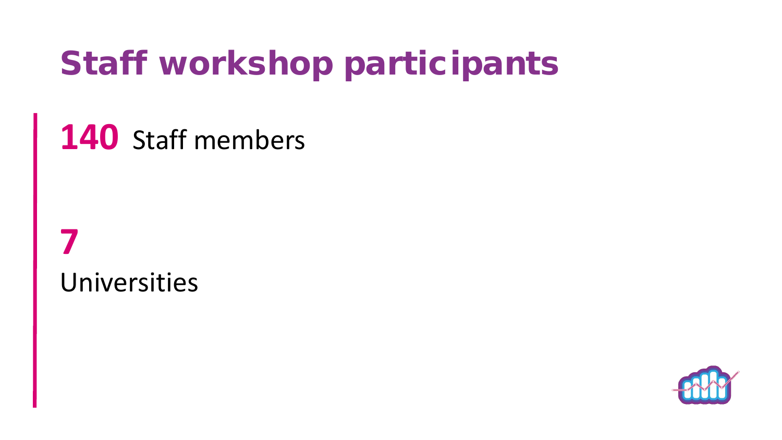### Staff workshop participants

**140** Staff members

**7** Universities

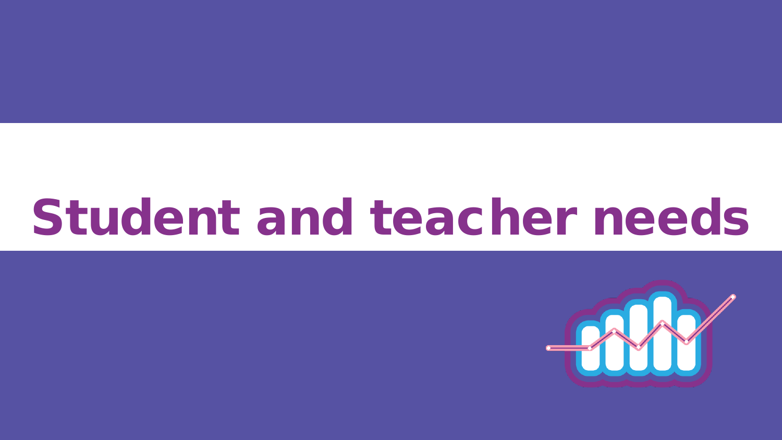# Student and teacher needs

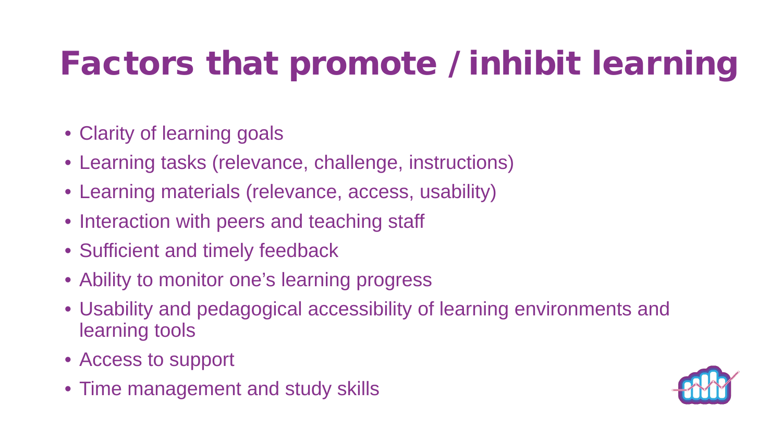## Factors that promote / inhibit learning

- Clarity of learning goals
- Learning tasks (relevance, challenge, instructions)
- Learning materials (relevance, access, usability)
- Interaction with peers and teaching staff
- Sufficient and timely feedback
- Ability to monitor one's learning progress
- Usability and pedagogical accessibility of learning environments and learning tools
- Access to support
- Time management and study skills

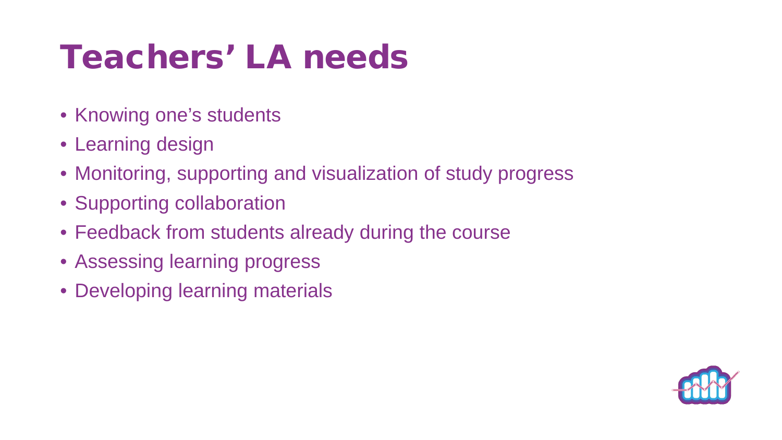### Teachers' LA needs

- Knowing one's students
- Learning design
- Monitoring, supporting and visualization of study progress
- Supporting collaboration
- Feedback from students already during the course
- Assessing learning progress
- Developing learning materials

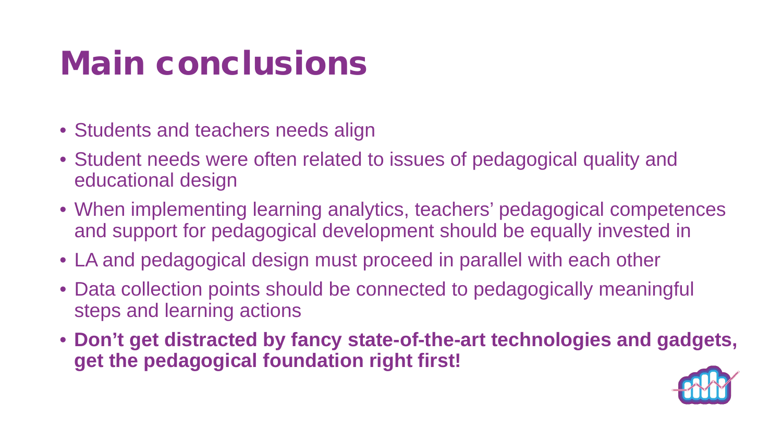### Main conclusions

- Students and teachers needs align
- Student needs were often related to issues of pedagogical quality and educational design
- When implementing learning analytics, teachers' pedagogical competences and support for pedagogical development should be equally invested in
- LA and pedagogical design must proceed in parallel with each other
- Data collection points should be connected to pedagogically meaningful steps and learning actions
- **Don't get distracted by fancy state-of-the-art technologies and gadgets, get the pedagogical foundation right first!**